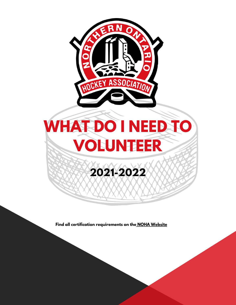

**Find all certification requirements on the NOHA [Website](http://noha-hockey.ca/)**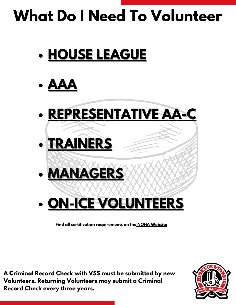# **What Do I Need To Volunteer**

**HOUSE [LEAGUE](#page-2-0)**





**Find all certification requirements on the NOHA [Website](http://noha-hockey.ca/)**

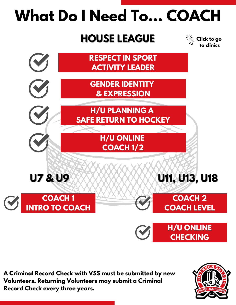## <span id="page-2-0"></span>**What Do I Need To... COACH**

#### **HOUSE LEAGUE**

**Click to go to clinics**



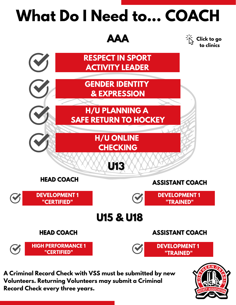### <span id="page-3-0"></span>**What Do I Need to... COACH**



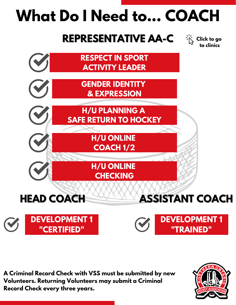## <span id="page-4-0"></span>**What Do I Need to... COACH**

#### **REPRESENTATIVE AA-C**